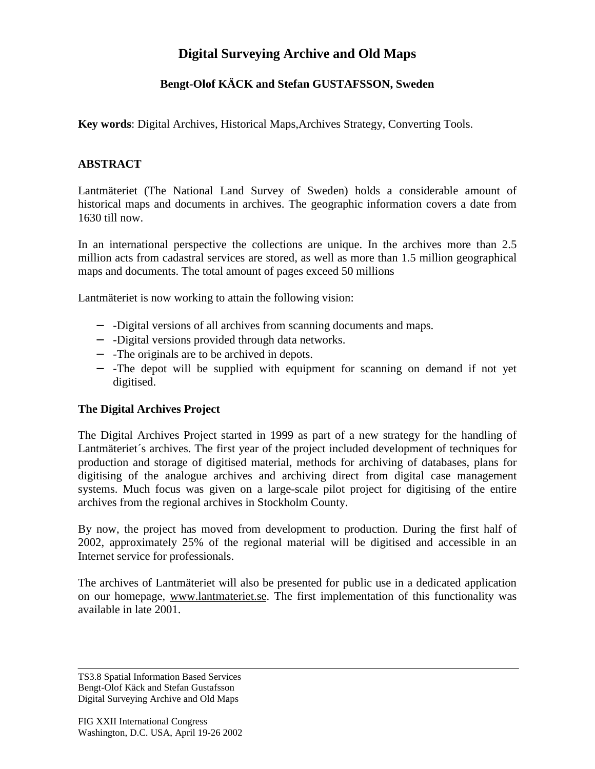# **Digital Surveying Archive and Old Maps**

# **Bengt-Olof KÄCK and Stefan GUSTAFSSON, Sweden**

**Key words**: Digital Archives, Historical Maps,Archives Strategy, Converting Tools.

#### **ABSTRACT**

Lantmäteriet (The National Land Survey of Sweden) holds a considerable amount of historical maps and documents in archives. The geographic information covers a date from 1630 till now.

In an international perspective the collections are unique. In the archives more than 2.5 million acts from cadastral services are stored, as well as more than 1.5 million geographical maps and documents. The total amount of pages exceed 50 millions

Lantmäteriet is now working to attain the following vision:

- − -Digital versions of all archives from scanning documents and maps.
- − -Digital versions provided through data networks.
- − -The originals are to be archived in depots.
- − -The depot will be supplied with equipment for scanning on demand if not yet digitised.

### **The Digital Archives Project**

The Digital Archives Project started in 1999 as part of a new strategy for the handling of Lantmäteriet´s archives. The first year of the project included development of techniques for production and storage of digitised material, methods for archiving of databases, plans for digitising of the analogue archives and archiving direct from digital case management systems. Much focus was given on a large-scale pilot project for digitising of the entire archives from the regional archives in Stockholm County.

By now, the project has moved from development to production. During the first half of 2002, approximately 25% of the regional material will be digitised and accessible in an Internet service for professionals.

The archives of Lantmäteriet will also be presented for public use in a dedicated application on our homepage, www.lantmateriet.se. The first implementation of this functionality was available in late 2001.

TS3.8 Spatial Information Based Services Bengt-Olof Käck and Stefan Gustafsson Digital Surveying Archive and Old Maps